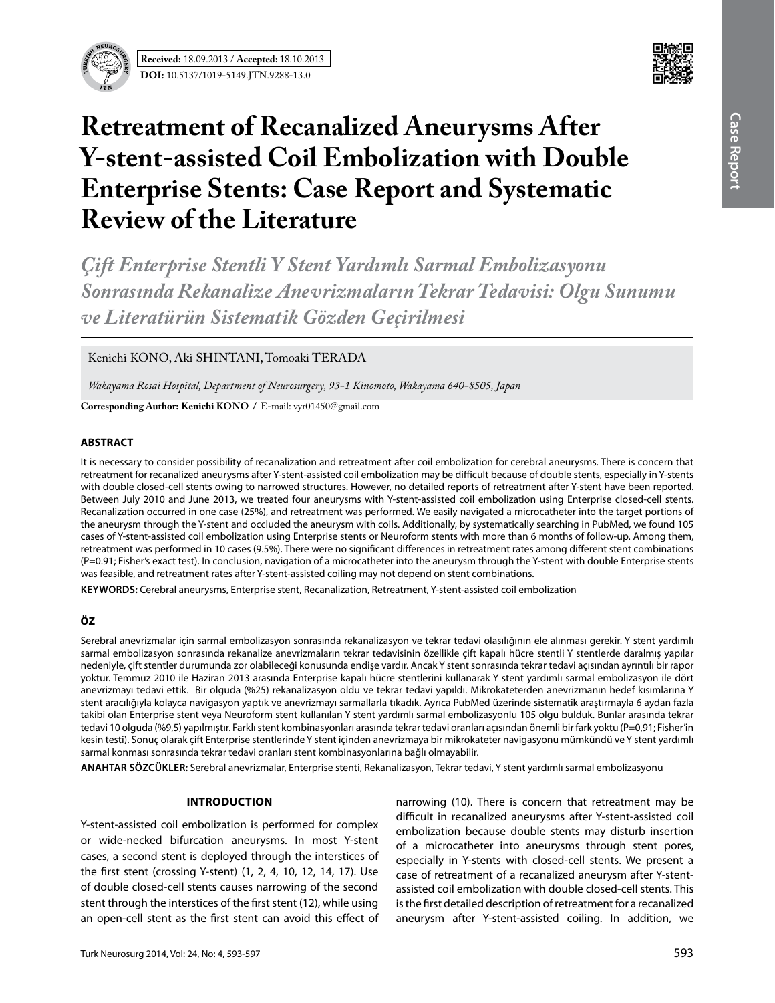



# **Retreatment of Recanalized Aneurysms After Y-stent-assisted Coil Embolization with Double Enterprise Stents: Case Report and Systematic Review of the Literature**

*Çift Enterprise Stentli Y Stent Yardımlı Sarmal Embolizasyonu Sonrasında Rekanalize Anevrizmaların Tekrar Tedavisi: Olgu Sunumu ve Literatürün Sistematik Gözden Geçirilmesi*

Kenichi KONO, Aki SHINTANI, Tomoaki TERADA

*Wakayama Rosai Hospital, Department of Neurosurgery, 93-1 Kinomoto, Wakayama 640-8505, Japan* 

**Corresponding Author: Kenichi Kono /** E-mail: vyr01450@gmail.com

#### **ABSTRACT**

It is necessary to consider possibility of recanalization and retreatment after coil embolization for cerebral aneurysms. There is concern that retreatment for recanalized aneurysms after Y-stent-assisted coil embolization may be difficult because of double stents, especially in Y-stents with double closed-cell stents owing to narrowed structures. However, no detailed reports of retreatment after Y-stent have been reported. Between July 2010 and June 2013, we treated four aneurysms with Y-stent-assisted coil embolization using Enterprise closed-cell stents. Recanalization occurred in one case (25%), and retreatment was performed. We easily navigated a microcatheter into the target portions of the aneurysm through the Y-stent and occluded the aneurysm with coils. Additionally, by systematically searching in PubMed, we found 105 cases of Y-stent-assisted coil embolization using Enterprise stents or Neuroform stents with more than 6 months of follow-up. Among them, retreatment was performed in 10 cases (9.5%). There were no significant differences in retreatment rates among different stent combinations (P=0.91; Fisher's exact test). In conclusion, navigation of a microcatheter into the aneurysm through the Y-stent with double Enterprise stents was feasible, and retreatment rates after Y-stent-assisted coiling may not depend on stent combinations.

**Keywords:** Cerebral aneurysms, Enterprise stent, Recanalization, Retreatment, Y-stent-assisted coil embolization

## **ÖZ**

Serebral anevrizmalar için sarmal embolizasyon sonrasında rekanalizasyon ve tekrar tedavi olasılığının ele alınması gerekir. Y stent yardımlı sarmal embolizasyon sonrasında rekanalize anevrizmaların tekrar tedavisinin özellikle çift kapalı hücre stentli Y stentlerde daralmış yapılar nedeniyle, çift stentler durumunda zor olabileceği konusunda endişe vardır. Ancak Y stent sonrasında tekrar tedavi açısından ayrıntılı bir rapor yoktur. Temmuz 2010 ile Haziran 2013 arasında Enterprise kapalı hücre stentlerini kullanarak Y stent yardımlı sarmal embolizasyon ile dört anevrizmayı tedavi ettik. Bir olguda (%25) rekanalizasyon oldu ve tekrar tedavi yapıldı. Mikrokateterden anevrizmanın hedef kısımlarına Y stent aracılığıyla kolayca navigasyon yaptık ve anevrizmayı sarmallarla tıkadık. Ayrıca PubMed üzerinde sistematik araştırmayla 6 aydan fazla takibi olan Enterprise stent veya Neuroform stent kullanılan Y stent yardımlı sarmal embolizasyonlu 105 olgu bulduk. Bunlar arasında tekrar tedavi 10 olguda (%9,5) yapılmıştır. Farklı stent kombinasyonları arasında tekrar tedavi oranları açısından önemli bir fark yoktu (P=0,91; Fisher'in kesin testi). Sonuç olarak çift Enterprise stentlerinde Y stent içinden anevrizmaya bir mikrokateter navigasyonu mümkündü ve Y stent yardımlı sarmal konması sonrasında tekrar tedavi oranları stent kombinasyonlarına bağlı olmayabilir.

**ANAHTAR SÖZCÜKLER:** Serebral anevrizmalar, Enterprise stenti, Rekanalizasyon, Tekrar tedavi, Y stent yardımlı sarmal embolizasyonu

#### **Introduction**

Y-stent-assisted coil embolization is performed for complex or wide-necked bifurcation aneurysms. In most Y-stent cases, a second stent is deployed through the interstices of the first stent (crossing Y-stent) (1, 2, 4, 10, 12, 14, 17). Use of double closed-cell stents causes narrowing of the second stent through the interstices of the first stent (12), while using an open-cell stent as the first stent can avoid this effect of

narrowing (10). There is concern that retreatment may be difficult in recanalized aneurysms after Y-stent-assisted coil embolization because double stents may disturb insertion of a microcatheter into aneurysms through stent pores, especially in Y-stents with closed-cell stents. We present a case of retreatment of a recanalized aneurysm after Y-stentassisted coil embolization with double closed-cell stents. This is the first detailed description of retreatment for a recanalized aneurysm after Y-stent-assisted coiling. In addition, we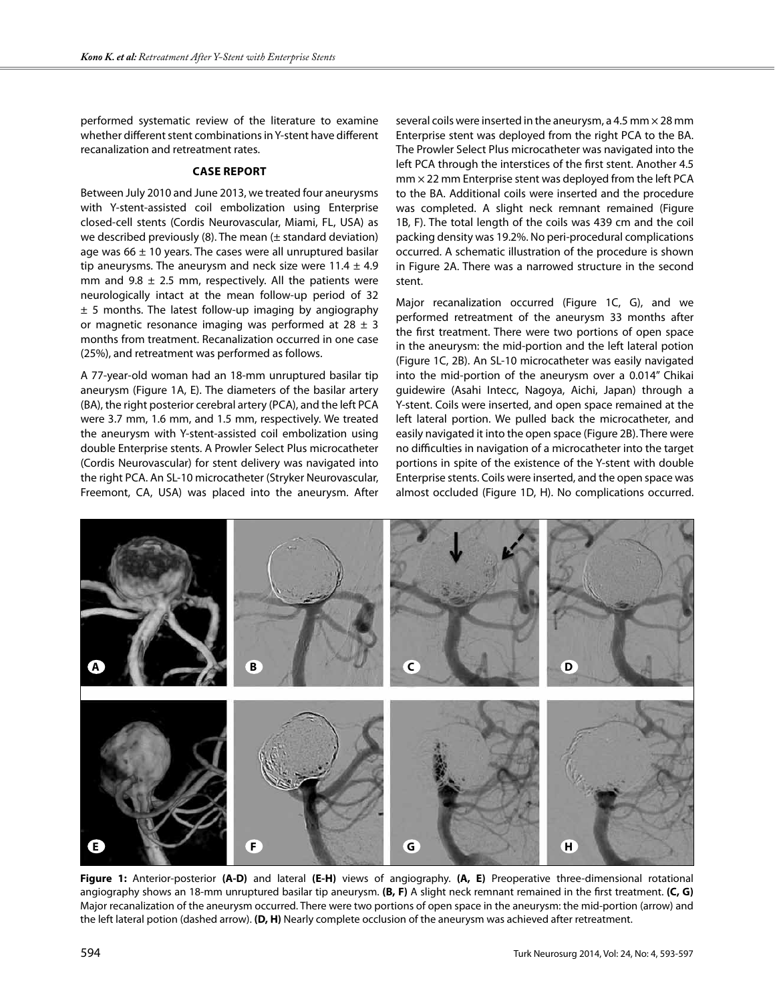performed systematic review of the literature to examine whether different stent combinations in Y-stent have different recanalization and retreatment rates.

#### **Case Report**

Between July 2010 and June 2013, we treated four aneurysms with Y-stent-assisted coil embolization using Enterprise closed-cell stents (Cordis Neurovascular, Miami, FL, USA) as we described previously  $(8)$ . The mean  $(\pm$  standard deviation) age was  $66 \pm 10$  years. The cases were all unruptured basilar tip aneurysms. The aneurysm and neck size were  $11.4 \pm 4.9$ mm and  $9.8 \pm 2.5$  mm, respectively. All the patients were neurologically intact at the mean follow-up period of 32  $\pm$  5 months. The latest follow-up imaging by angiography or magnetic resonance imaging was performed at  $28 \pm 3$ months from treatment. Recanalization occurred in one case (25%), and retreatment was performed as follows.

A 77-year-old woman had an 18-mm unruptured basilar tip aneurysm (Figure 1A, E). The diameters of the basilar artery (BA), the right posterior cerebral artery (PCA), and the left PCA were 3.7 mm, 1.6 mm, and 1.5 mm, respectively. We treated the aneurysm with Y-stent-assisted coil embolization using double Enterprise stents. A Prowler Select Plus microcatheter (Cordis Neurovascular) for stent delivery was navigated into the right PCA. An SL-10 microcatheter (Stryker Neurovascular, Freemont, CA, USA) was placed into the aneurysm. After several coils were inserted in the aneurysm, a 4.5 mm  $\times$  28 mm Enterprise stent was deployed from the right PCA to the BA. The Prowler Select Plus microcatheter was navigated into the left PCA through the interstices of the first stent. Another 4.5  $mm \times 22$  mm Enterprise stent was deployed from the left PCA to the BA. Additional coils were inserted and the procedure was completed. A slight neck remnant remained (Figure 1B, F). The total length of the coils was 439 cm and the coil packing density was 19.2%. No peri-procedural complications occurred. A schematic illustration of the procedure is shown in Figure 2A. There was a narrowed structure in the second stent.

Major recanalization occurred (Figure 1C, G), and we performed retreatment of the aneurysm 33 months after the first treatment. There were two portions of open space in the aneurysm: the mid-portion and the left lateral potion (Figure 1C, 2B). An SL-10 microcatheter was easily navigated into the mid-portion of the aneurysm over a 0.014" Chikai guidewire (Asahi Intecc, Nagoya, Aichi, Japan) through a Y-stent. Coils were inserted, and open space remained at the left lateral portion. We pulled back the microcatheter, and easily navigated it into the open space (Figure 2B). There were no difficulties in navigation of a microcatheter into the target portions in spite of the existence of the Y-stent with double Enterprise stents. Coils were inserted, and the open space was almost occluded (Figure 1D, H). No complications occurred.



**Figure 1:** Anterior-posterior **(A-D)** and lateral **(E-H)** views of angiography. **(A, E)** Preoperative three-dimensional rotational angiography shows an 18-mm unruptured basilar tip aneurysm. **(B, F)** A slight neck remnant remained in the first treatment. **(C, G)** Major recanalization of the aneurysm occurred. There were two portions of open space in the aneurysm: the mid-portion (arrow) and the left lateral potion (dashed arrow). **(D, H)** Nearly complete occlusion of the aneurysm was achieved after retreatment.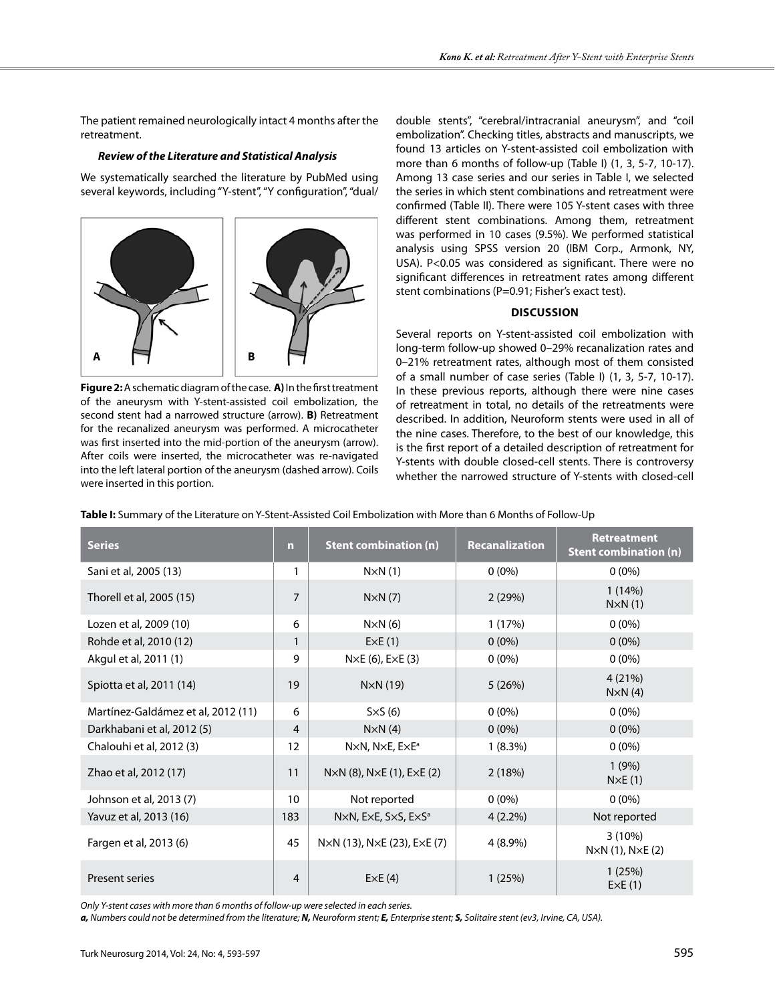The patient remained neurologically intact 4 months after the retreatment.

#### *Review of the Literature and Statistical Analysis*

We systematically searched the literature by PubMed using several keywords, including "Y-stent", "Y configuration", "dual/



**Figure 2:** A schematic diagram of the case. **A)** In the first treatment of the aneurysm with Y-stent-assisted coil embolization, the second stent had a narrowed structure (arrow). **B)** Retreatment for the recanalized aneurysm was performed. A microcatheter was first inserted into the mid-portion of the aneurysm (arrow). After coils were inserted, the microcatheter was re-navigated into the left lateral portion of the aneurysm (dashed arrow). Coils were inserted in this portion.

double stents", "cerebral/intracranial aneurysm", and "coil embolization". Checking titles, abstracts and manuscripts, we found 13 articles on Y-stent-assisted coil embolization with more than 6 months of follow-up (Table I) (1, 3, 5-7, 10-17). Among 13 case series and our series in Table I, we selected the series in which stent combinations and retreatment were confirmed (Table II). There were 105 Y-stent cases with three different stent combinations. Among them, retreatment was performed in 10 cases (9.5%). We performed statistical analysis using SPSS version 20 (IBM Corp., Armonk, NY, USA). P<0.05 was considered as significant. There were no significant differences in retreatment rates among different stent combinations (P=0.91; Fisher's exact test).

### **Discussion**

Several reports on Y-stent-assisted coil embolization with long-term follow-up showed 0–29% recanalization rates and 0–21% retreatment rates, although most of them consisted of a small number of case series (Table I) (1, 3, 5-7, 10-17). In these previous reports, although there were nine cases of retreatment in total, no details of the retreatments were described. In addition, Neuroform stents were used in all of the nine cases. Therefore, to the best of our knowledge, this is the first report of a detailed description of retreatment for Y-stents with double closed-cell stents. There is controversy whether the narrowed structure of Y-stents with closed-cell

| Table I: Summary of the Literature on Y-Stent-Assisted Coil Embolization with More than 6 Months of Follow-Up |
|---------------------------------------------------------------------------------------------------------------|
|---------------------------------------------------------------------------------------------------------------|

| <b>Series</b>                      | m              | <b>Stent combination (n)</b>                                         | <b>Recanalization</b> | <b>Retreatment</b><br><b>Stent combination (n)</b> |
|------------------------------------|----------------|----------------------------------------------------------------------|-----------------------|----------------------------------------------------|
| Sani et al, 2005 (13)              | 1              | $N \times N(1)$                                                      | $0(0\%)$              | $0(0\%)$                                           |
| Thorell et al, 2005 (15)           | $\overline{7}$ | $N\times N(7)$                                                       | 2(29%)                | 1(14%)<br>$N \times N(1)$                          |
| Lozen et al, 2009 (10)             | 6              | $N \times N$ (6)                                                     | 1 (17%)               | $0(0\%)$                                           |
| Rohde et al, 2010 (12)             | $\mathbf{1}$   | ExE(1)                                                               | $0(0\%)$              | $0(0\%)$                                           |
| Akgul et al, 2011 (1)              | 9              | $N \times E$ (6), $E \times E$ (3)                                   | $0(0\%)$              | $0(0\%)$                                           |
| Spiotta et al, 2011 (14)           | 19             | $N\times N(19)$                                                      | 5(26%)                | 4(21%)<br>$N \times N$ (4)                         |
| Martínez-Galdámez et al, 2012 (11) | 6              | $S\times S(6)$                                                       | $0(0\%)$              | $0(0\%)$                                           |
| Darkhabani et al, 2012 (5)         | $\overline{4}$ | $N \times N$ (4)                                                     | $0(0\%)$              | $0(0\%)$                                           |
| Chalouhi et al, 2012 (3)           | 12             | NxN, NxE, ExE <sup>a</sup>                                           | $1(8.3\%)$            | $0(0\%)$                                           |
| Zhao et al, 2012 (17)              | 11             | $N \times N$ (8), $N \times E$ (1), $E \times E$ (2)                 | 2(18%)                | 1(9%)<br>$N \times E(1)$                           |
| Johnson et al, 2013 (7)            | 10             | Not reported                                                         | $0(0\%)$              | $0(0\%)$                                           |
| Yavuz et al, 2013 (16)             | 183            | $N \times N$ , E $\times$ E, S $\times$ S, E $\times$ S <sup>a</sup> | $4(2.2\%)$            | Not reported                                       |
| Fargen et al, 2013 (6)             | 45             | $N \times N$ (13), $N \times E$ (23), $E \times E$ (7)               | 4 (8.9%)              | $3(10\%)$<br>$N \times N$ (1), $N \times E$ (2)    |
| <b>Present series</b>              | 4              | ExE(4)                                                               | 1(25%)                | 1(25%)<br>ExE(1)                                   |

*Only Y-stent cases with more than 6 months of follow-up were selected in each series.*

*a, Numbers could not be determined from the literature; N, Neuroform stent; E, Enterprise stent; S, Solitaire stent (ev3, Irvine, CA, USA).*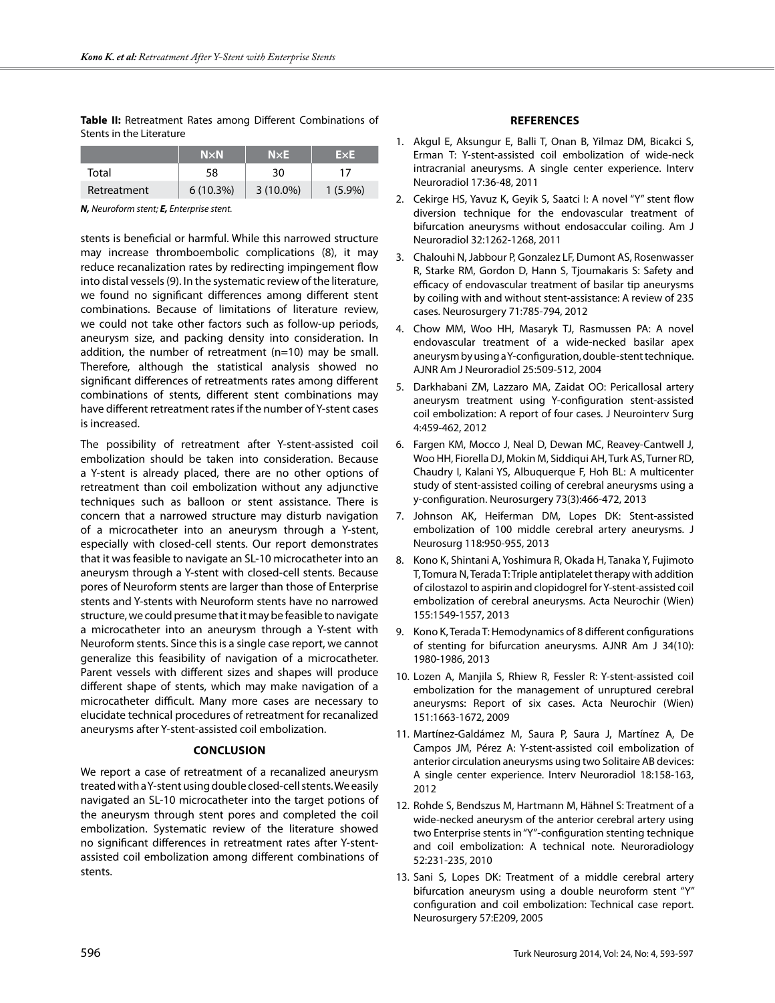**Table II:** Retreatment Rates among Different Combinations of Stents in the Literature

|             | $N \times N$ | N×E.        | ExE        |
|-------------|--------------|-------------|------------|
| Total       | 58           | 30          |            |
| Retreatment | $6(10.3\%)$  | $3(10.0\%)$ | $1(5.9\%)$ |

*N, Neuroform stent; E, Enterprise stent.*

stents is beneficial or harmful. While this narrowed structure may increase thromboembolic complications (8), it may reduce recanalization rates by redirecting impingement flow into distal vessels (9). In the systematic review of the literature, we found no significant differences among different stent combinations. Because of limitations of literature review, we could not take other factors such as follow-up periods, aneurysm size, and packing density into consideration. In addition, the number of retreatment (n=10) may be small. Therefore, although the statistical analysis showed no significant differences of retreatments rates among different combinations of stents, different stent combinations may have different retreatment rates if the number of Y-stent cases is increased.

The possibility of retreatment after Y-stent-assisted coil embolization should be taken into consideration. Because a Y-stent is already placed, there are no other options of retreatment than coil embolization without any adjunctive techniques such as balloon or stent assistance. There is concern that a narrowed structure may disturb navigation of a microcatheter into an aneurysm through a Y-stent, especially with closed-cell stents. Our report demonstrates that it was feasible to navigate an SL-10 microcatheter into an aneurysm through a Y-stent with closed-cell stents. Because pores of Neuroform stents are larger than those of Enterprise stents and Y-stents with Neuroform stents have no narrowed structure, we could presume that it may be feasible to navigate a microcatheter into an aneurysm through a Y-stent with Neuroform stents. Since this is a single case report, we cannot generalize this feasibility of navigation of a microcatheter. Parent vessels with different sizes and shapes will produce different shape of stents, which may make navigation of a microcatheter difficult. Many more cases are necessary to elucidate technical procedures of retreatment for recanalized aneurysms after Y-stent-assisted coil embolization.

#### **Conclusion**

We report a case of retreatment of a recanalized aneurysm treated with a Y-stent using double closed-cell stents. We easily navigated an SL-10 microcatheter into the target potions of the aneurysm through stent pores and completed the coil embolization. Systematic review of the literature showed no significant differences in retreatment rates after Y-stentassisted coil embolization among different combinations of stents.

#### **References**

- 1. Akgul E, Aksungur E, Balli T, Onan B, Yilmaz DM, Bicakci S, Erman T: Y-stent-assisted coil embolization of wide-neck intracranial aneurysms. A single center experience. Interv Neuroradiol 17:36-48, 2011
- 2. Cekirge HS, Yavuz K, Geyik S, Saatci I: A novel "Y" stent flow diversion technique for the endovascular treatment of bifurcation aneurysms without endosaccular coiling. Am J Neuroradiol 32:1262-1268, 2011
- 3. Chalouhi N, Jabbour P, Gonzalez LF, Dumont AS, Rosenwasser R, Starke RM, Gordon D, Hann S, Tjoumakaris S: Safety and efficacy of endovascular treatment of basilar tip aneurysms by coiling with and without stent-assistance: A review of 235 cases. Neurosurgery 71:785-794, 2012
- 4. Chow MM, Woo HH, Masaryk TJ, Rasmussen PA: A novel endovascular treatment of a wide-necked basilar apex aneurysm by using a Y-configuration, double-stent technique. AJNR Am J Neuroradiol 25:509-512, 2004
- 5. Darkhabani ZM, Lazzaro MA, Zaidat OO: Pericallosal artery aneurysm treatment using Y-configuration stent-assisted coil embolization: A report of four cases. J Neurointerv Surg 4:459-462, 2012
- 6. Fargen KM, Mocco J, Neal D, Dewan MC, Reavey-Cantwell J, Woo HH, Fiorella DJ, Mokin M, Siddiqui AH, Turk AS, Turner RD, Chaudry I, Kalani YS, Albuquerque F, Hoh BL: A multicenter study of stent-assisted coiling of cerebral aneurysms using a y-configuration. Neurosurgery 73(3):466-472, 2013
- 7. Johnson AK, Heiferman DM, Lopes DK: Stent-assisted embolization of 100 middle cerebral artery aneurysms. J Neurosurg 118:950-955, 2013
- 8. Kono K, Shintani A, Yoshimura R, Okada H, Tanaka Y, Fujimoto T, Tomura N, Terada T: Triple antiplatelet therapy with addition of cilostazol to aspirin and clopidogrel for Y-stent-assisted coil embolization of cerebral aneurysms. Acta Neurochir (Wien) 155:1549-1557, 2013
- 9. Kono K, Terada T: Hemodynamics of 8 different configurations of stenting for bifurcation aneurysms. AJNR Am J 34(10): 1980-1986, 2013
- 10. Lozen A, Manjila S, Rhiew R, Fessler R: Y-stent-assisted coil embolization for the management of unruptured cerebral aneurysms: Report of six cases. Acta Neurochir (Wien) 151:1663-1672, 2009
- 11. Martínez-Galdámez M, Saura P, Saura J, Martínez A, De Campos JM, Pérez A: Y-stent-assisted coil embolization of anterior circulation aneurysms using two Solitaire AB devices: A single center experience. Interv Neuroradiol 18:158-163, 2012
- 12. Rohde S, Bendszus M, Hartmann M, Hähnel S: Treatment of a wide-necked aneurysm of the anterior cerebral artery using two Enterprise stents in "Y"-configuration stenting technique and coil embolization: A technical note. Neuroradiology 52:231-235, 2010
- 13. Sani S, Lopes DK: Treatment of a middle cerebral artery bifurcation aneurysm using a double neuroform stent "Y" configuration and coil embolization: Technical case report. Neurosurgery 57:E209, 2005